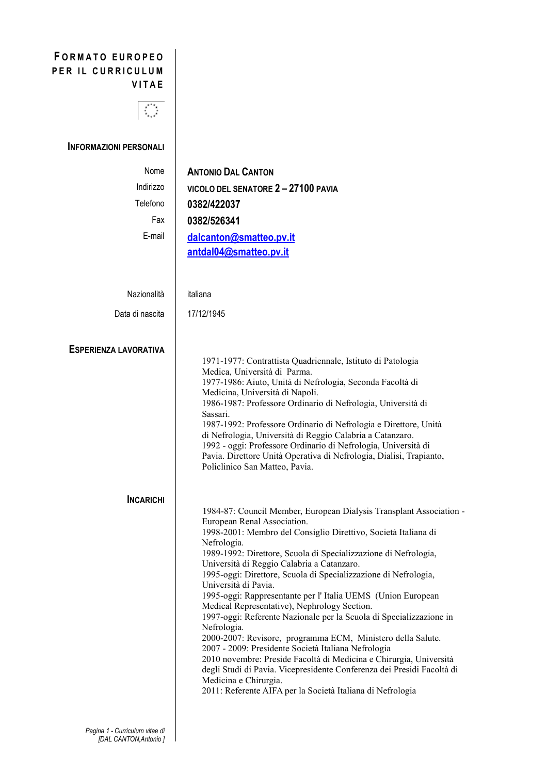## FORMATO EUROPEO PER IL CURRICULUM **VITAE**

## $\overline{\mathbb{C}}$

## INFORMAZIONI PERSONALI

| <b>ANTONIO DAL CANTON</b>                                                                                                                                                                                                                                                                                                                                                                                                                                                                                                                                                                                                                                                                                                                                                                                                                                                                                                                                         |
|-------------------------------------------------------------------------------------------------------------------------------------------------------------------------------------------------------------------------------------------------------------------------------------------------------------------------------------------------------------------------------------------------------------------------------------------------------------------------------------------------------------------------------------------------------------------------------------------------------------------------------------------------------------------------------------------------------------------------------------------------------------------------------------------------------------------------------------------------------------------------------------------------------------------------------------------------------------------|
| VICOLO DEL SENATORE 2-27100 PAVIA                                                                                                                                                                                                                                                                                                                                                                                                                                                                                                                                                                                                                                                                                                                                                                                                                                                                                                                                 |
| 0382/422037                                                                                                                                                                                                                                                                                                                                                                                                                                                                                                                                                                                                                                                                                                                                                                                                                                                                                                                                                       |
| 0382/526341                                                                                                                                                                                                                                                                                                                                                                                                                                                                                                                                                                                                                                                                                                                                                                                                                                                                                                                                                       |
| dalcanton@smatteo.pv.it<br>antdal04@smatteo.pv.it                                                                                                                                                                                                                                                                                                                                                                                                                                                                                                                                                                                                                                                                                                                                                                                                                                                                                                                 |
| italiana                                                                                                                                                                                                                                                                                                                                                                                                                                                                                                                                                                                                                                                                                                                                                                                                                                                                                                                                                          |
| 17/12/1945                                                                                                                                                                                                                                                                                                                                                                                                                                                                                                                                                                                                                                                                                                                                                                                                                                                                                                                                                        |
| 1971-1977: Contrattista Quadriennale, Istituto di Patologia<br>Medica, Università di Parma.<br>1977-1986: Aiuto, Unità di Nefrologia, Seconda Facoltà di<br>Medicina, Università di Napoli.<br>1986-1987: Professore Ordinario di Nefrologia, Università di<br>Sassari.<br>1987-1992: Professore Ordinario di Nefrologia e Direttore, Unità<br>di Nefrologia, Università di Reggio Calabria a Catanzaro.<br>1992 - oggi: Professore Ordinario di Nefrologia, Università di<br>Pavia. Direttore Unità Operativa di Nefrologia, Dialisi, Trapianto,<br>Policlinico San Matteo, Pavia.                                                                                                                                                                                                                                                                                                                                                                               |
| 1984-87: Council Member, European Dialysis Transplant Association -<br>European Renal Association.<br>1998-2001: Membro del Consiglio Direttivo, Società Italiana di<br>Nefrologia.<br>1989-1992: Direttore, Scuola di Specializzazione di Nefrologia,<br>Università di Reggio Calabria a Catanzaro.<br>1995-oggi: Direttore, Scuola di Specializzazione di Nefrologia,<br>Università di Pavia.<br>1995-oggi: Rappresentante per l'Italia UEMS (Union European<br>Medical Representative), Nephrology Section.<br>1997-oggi: Referente Nazionale per la Scuola di Specializzazione in<br>Nefrologia.<br>2000-2007: Revisore, programma ECM, Ministero della Salute.<br>2007 - 2009: Presidente Società Italiana Nefrologia<br>2010 novembre: Preside Facoltà di Medicina e Chirurgia, Università<br>degli Studi di Pavia. Vicepresidente Conferenza dei Presidi Facoltà di<br>Medicina e Chirurgia.<br>2011: Referente AIFA per la Società Italiana di Nefrologia |
|                                                                                                                                                                                                                                                                                                                                                                                                                                                                                                                                                                                                                                                                                                                                                                                                                                                                                                                                                                   |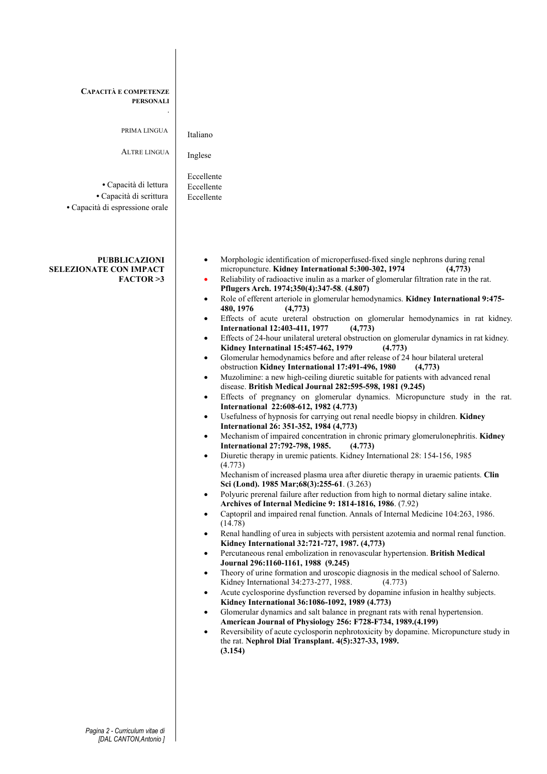| CAPACITÀ E COMPETENZE<br><b>PERSONALI</b><br>PRIMA LINGUA<br><b>ALTRE LINGUA</b><br>· Capacità di lettura<br>· Capacità di scrittura<br>· Capacità di espressione orale | Italiano<br>Inglese<br>Eccellente<br>Eccellente<br>Eccellente                                                                                                                                                                                                                                                                                                                                                                                                                                                                                                                                                                                                                                                                                                                                                                                                                                                                                                                                                                                                                                                                                                                                                                                                                                                                                                                                                                                                                                                                                                                                                                                                                                                                                                                                                                                                                                                                                                                                                                                                                                                                                                                                                                                                                                                                                                                                                                                                                                                                                                                                                                                                                                                                                                                                                                                                                                                                                                                                                  |
|-------------------------------------------------------------------------------------------------------------------------------------------------------------------------|----------------------------------------------------------------------------------------------------------------------------------------------------------------------------------------------------------------------------------------------------------------------------------------------------------------------------------------------------------------------------------------------------------------------------------------------------------------------------------------------------------------------------------------------------------------------------------------------------------------------------------------------------------------------------------------------------------------------------------------------------------------------------------------------------------------------------------------------------------------------------------------------------------------------------------------------------------------------------------------------------------------------------------------------------------------------------------------------------------------------------------------------------------------------------------------------------------------------------------------------------------------------------------------------------------------------------------------------------------------------------------------------------------------------------------------------------------------------------------------------------------------------------------------------------------------------------------------------------------------------------------------------------------------------------------------------------------------------------------------------------------------------------------------------------------------------------------------------------------------------------------------------------------------------------------------------------------------------------------------------------------------------------------------------------------------------------------------------------------------------------------------------------------------------------------------------------------------------------------------------------------------------------------------------------------------------------------------------------------------------------------------------------------------------------------------------------------------------------------------------------------------------------------------------------------------------------------------------------------------------------------------------------------------------------------------------------------------------------------------------------------------------------------------------------------------------------------------------------------------------------------------------------------------------------------------------------------------------------------------------------------------|
| <b>PUBBLICAZIONI</b><br><b>SELEZIONATE CON IMPACT</b><br>FACTOR > 3                                                                                                     | Morphologic identification of microperfused-fixed single nephrons during renal<br>$\bullet$<br>micropuncture. Kidney International 5:300-302, 1974<br>(4,773)<br>Reliability of radioactive inulin as a marker of glomerular filtration rate in the rat.<br>$\bullet$<br>Pflugers Arch. 1974;350(4):347-58. (4.807)<br>Role of efferent arteriole in glomerular hemodynamics. Kidney International 9:475-<br>$\bullet$<br>480, 1976<br>(4,773)<br>Effects of acute ureteral obstruction on glomerular hemodynamics in rat kidney.<br>$\bullet$<br><b>International 12:403-411, 1977</b><br>(4,773)<br>Effects of 24-hour unilateral ureteral obstruction on glomerular dynamics in rat kidney.<br>$\bullet$<br>Kidney Internatinal 15:457-462, 1979<br>(4.773)<br>Glomerular hemodynamics before and after release of 24 hour bilateral ureteral<br>$\bullet$<br>obstruction Kidney International 17:491-496, 1980<br>(4,773)<br>Muzolimine: a new high-ceiling diuretic suitable for patients with advanced renal<br>$\bullet$<br>disease. British Medical Journal 282:595-598, 1981 (9.245)<br>Effects of pregnancy on glomerular dynamics. Micropuncture study in the rat.<br>$\bullet$<br>International 22:608-612, 1982 (4.773)<br>Usefulness of hypnosis for carrying out renal needle biopsy in children. Kidney<br>$\bullet$<br>International 26: 351-352, 1984 (4,773)<br>Mechanism of impaired concentration in chronic primary glomerulonephritis. Kidney<br>$\bullet$<br>International 27:792-798, 1985.<br>(4.773)<br>Diuretic therapy in uremic patients. Kidney International 28: 154-156, 1985<br>$\bullet$<br>(4.773)<br>Mechanism of increased plasma urea after diuretic therapy in uraemic patients. Clin<br>Sci (Lond). 1985 Mar; 68(3): 255-61. (3.263)<br>Polyuric prerenal failure after reduction from high to normal dietary saline intake.<br>$\bullet$<br>Archives of Internal Medicine 9: 1814-1816, 1986. (7.92)<br>Captopril and impaired renal function. Annals of Internal Medicine 104:263, 1986.<br>$\bullet$<br>(14.78)<br>Renal handling of urea in subjects with persistent azotemia and normal renal function.<br>$\bullet$<br>Kidney International 32:721-727, 1987. (4,773)<br>Percutaneous renal embolization in renovascular hypertension. British Medical<br>$\bullet$<br>Journal 296:1160-1161, 1988 (9.245)<br>Theory of urine formation and uroscopic diagnosis in the medical school of Salerno.<br>$\bullet$<br>Kidney International 34:273-277, 1988.<br>(4.773)<br>Acute cyclosporine dysfunction reversed by dopamine infusion in healthy subjects.<br>$\bullet$<br>Kidney International 36:1086-1092, 1989 (4.773)<br>Glomerular dynamics and salt balance in pregnant rats with renal hypertension.<br>$\bullet$<br>American Journal of Physiology 256: F728-F734, 1989.(4.199)<br>Reversibility of acute cyclosporin nephrotoxicity by dopamine. Micropuncture study in<br>$\bullet$<br>the rat. Nephrol Dial Transplant. 4(5):327-33, 1989.<br>(3.154) |

I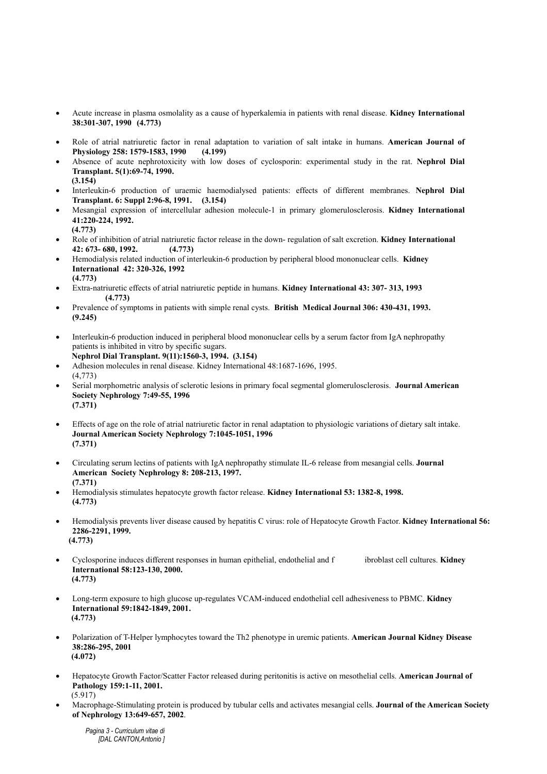- Acute increase in plasma osmolality as a cause of hyperkalemia in patients with renal disease. Kidney International 38:301-307, 1990 (4.773)
- Role of atrial natriuretic factor in renal adaptation to variation of salt intake in humans. American Journal of Physiology 258: 1579-1583, 1990 (4.199)
- Absence of acute nephrotoxicity with low doses of cyclosporin: experimental study in the rat. Nephrol Dial Transplant. 5(1):69-74, 1990.  $(3.154)$
- Interleukin-6 production of uraemic haemodialysed patients: effects of different membranes. Nephrol Dial Transplant. 6: Suppl 2:96-8, 1991. (3.154)
- Mesangial expression of intercellular adhesion molecule-1 in primary glomerulosclerosis. Kidney International 41:220-224, 1992. (4.773)
- Role of inhibition of atrial natriuretic factor release in the down- regulation of salt excretion. Kidney International 42: 673- 680, 1992. (4.773)
- Hemodialysis related induction of interleukin-6 production by peripheral blood mononuclear cells. Kidney International 42: 320-326, 1992 (4.773)
- Extra-natriuretic effects of atrial natriuretic peptide in humans. Kidney International 43: 307- 313, 1993 (4.773)
- Prevalence of symptoms in patients with simple renal cysts. British Medical Journal 306: 430-431, 1993. (9.245)
- Interleukin-6 production induced in peripheral blood mononuclear cells by a serum factor from IgA nephropathy patients is inhibited in vitro by specific sugars.
- Nephrol Dial Transplant. 9(11):1560-3, 1994. (3.154) • Adhesion molecules in renal disease. Kidney International 48:1687-1696, 1995. (4,773)
- Serial morphometric analysis of sclerotic lesions in primary focal segmental glomerulosclerosis. Journal American Society Nephrology 7:49-55, 1996 (7.371)
- Effects of age on the role of atrial natriuretic factor in renal adaptation to physiologic variations of dietary salt intake. Journal American Society Nephrology 7:1045-1051, 1996 (7.371)
- Circulating serum lectins of patients with IgA nephropathy stimulate IL-6 release from mesangial cells. Journal American Society Nephrology 8: 208-213, 1997. (7.371)
- Hemodialysis stimulates hepatocyte growth factor release. Kidney International 53: 1382-8, 1998. (4.773)
- Hemodialysis prevents liver disease caused by hepatitis C virus: role of Hepatocyte Growth Factor. Kidney International 56: 2286-2291, 1999. (4.773)
- Cyclosporine induces different responses in human epithelial, endothelial and f ibroblast cell cultures. Kidney International 58:123-130, 2000. (4.773)
- Long-term exposure to high glucose up-regulates VCAM-induced endothelial cell adhesiveness to PBMC. Kidney International 59:1842-1849, 2001. (4.773)
- Polarization of T-Helper lymphocytes toward the Th2 phenotype in uremic patients. American Journal Kidney Disease 38:286-295, 2001 (4.072)
- Hepatocyte Growth Factor/Scatter Factor released during peritonitis is active on mesothelial cells. American Journal of Pathology 159:1-11, 2001. (5.917)
- Macrophage-Stimulating protein is produced by tubular cells and activates mesangial cells. Journal of the American Society of Nephrology 13:649-657, 2002.

Pagina 3 - Curriculum vitae di [DAL CANTON, Antonio ]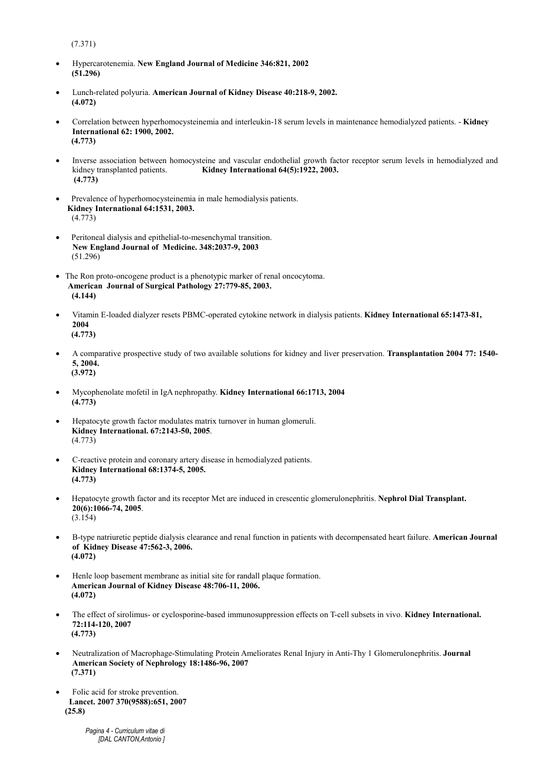(7.371)

- Hypercarotenemia. New England Journal of Medicine 346:821, 2002 (51.296)
- Lunch-related polyuria. American Journal of Kidney Disease 40:218-9, 2002. (4.072)
- Correlation between hyperhomocysteinemia and interleukin-18 serum levels in maintenance hemodialyzed patients. Kidney International 62: 1900, 2002. (4.773)
- Inverse association between homocysteine and vascular endothelial growth factor receptor serum levels in hemodialyzed and kidney transplanted patients. Kidney International 64(5):1922, 2003. (4.773)
- Prevalence of hyperhomocysteinemia in male hemodialysis patients. Kidney International 64:1531, 2003. (4.773)
- Peritoneal dialysis and epithelial-to-mesenchymal transition. New England Journal of Medicine. 348:2037-9, 2003 (51.296)
- The Ron proto-oncogene product is a phenotypic marker of renal oncocytoma. American Journal of Surgical Pathology 27:779-85, 2003. (4.144)
- Vitamin E-loaded dialyzer resets PBMC-operated cytokine network in dialysis patients. Kidney International 65:1473-81, 2004 (4.773)
- A comparative prospective study of two available solutions for kidney and liver preservation. Transplantation 2004 77: 1540- 5, 2004. (3.972)
- Mycophenolate mofetil in IgA nephropathy. Kidney International 66:1713, 2004 (4.773)
- Hepatocyte growth factor modulates matrix turnover in human glomeruli. Kidney International. 67:2143-50, 2005. (4.773)
- C-reactive protein and coronary artery disease in hemodialyzed patients. Kidney International 68:1374-5, 2005. (4.773)
- Hepatocyte growth factor and its receptor Met are induced in crescentic glomerulonephritis. Nephrol Dial Transplant. 20(6):1066-74, 2005. (3.154)
- B-type natriuretic peptide dialysis clearance and renal function in patients with decompensated heart failure. American Journal of Kidney Disease 47:562-3, 2006. (4.072)
- Henle loop basement membrane as initial site for randall plaque formation. American Journal of Kidney Disease 48:706-11, 2006. (4.072)
- The effect of sirolimus- or cyclosporine-based immunosuppression effects on T-cell subsets in vivo. Kidney International. 72:114-120, 2007 (4.773)
- Neutralization of Macrophage-Stimulating Protein Ameliorates Renal Injury in Anti-Thy 1 Glomerulonephritis. Journal American Society of Nephrology 18:1486-96, 2007 (7.371)
- Folic acid for stroke prevention. Lancet. 2007 370(9588):651, 2007 (25.8)

Pagina 4 - Curriculum vitae di [DAL CANTON, Antonio ]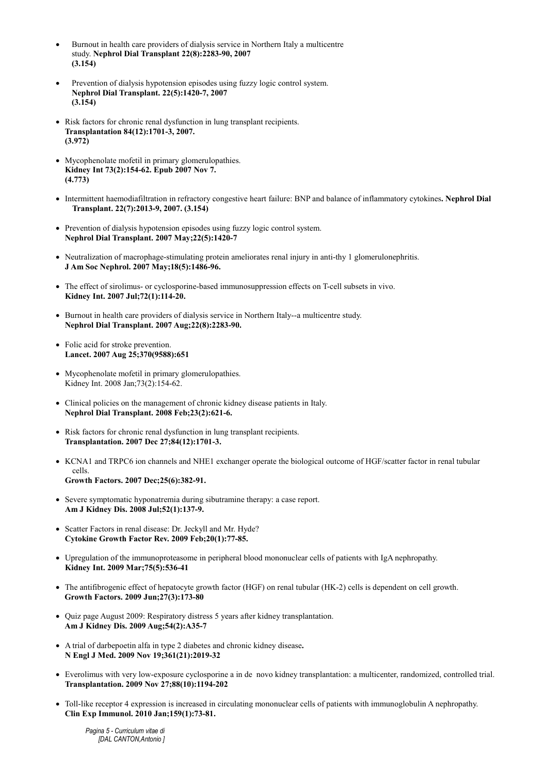- Burnout in health care providers of dialysis service in Northern Italy a multicentre study. Nephrol Dial Transplant 22(8):2283-90, 2007 (3.154)
- Prevention of dialysis hypotension episodes using fuzzy logic control system. Nephrol Dial Transplant. 22(5):1420-7, 2007 (3.154)
- Risk factors for chronic renal dysfunction in lung transplant recipients. Transplantation 84(12):1701-3, 2007. (3.972)
- Mycophenolate mofetil in primary glomerulopathies. Kidney Int 73(2):154-62. Epub 2007 Nov 7. (4.773)
- Intermittent haemodiafiltration in refractory congestive heart failure: BNP and balance of inflammatory cytokines. Nephrol Dial Transplant. 22(7):2013-9, 2007. (3.154)
- Prevention of dialysis hypotension episodes using fuzzy logic control system. Nephrol Dial Transplant. 2007 May;22(5):1420-7
- Neutralization of macrophage-stimulating protein ameliorates renal injury in anti-thy 1 glomerulonephritis. J Am Soc Nephrol. 2007 May;18(5):1486-96.
- The effect of sirolimus- or cyclosporine-based immunosuppression effects on T-cell subsets in vivo. Kidney Int. 2007 Jul;72(1):114-20.
- Burnout in health care providers of dialysis service in Northern Italy--a multicentre study. Nephrol Dial Transplant. 2007 Aug;22(8):2283-90.
- Folic acid for stroke prevention. Lancet. 2007 Aug 25;370(9588):651
- Mycophenolate mofetil in primary glomerulopathies. Kidney Int. 2008 Jan;73(2):154-62.
- Clinical policies on the management of chronic kidney disease patients in Italy. Nephrol Dial Transplant. 2008 Feb;23(2):621-6.
- Risk factors for chronic renal dysfunction in lung transplant recipients. Transplantation. 2007 Dec 27;84(12):1701-3.
- KCNA1 and TRPC6 ion channels and NHE1 exchanger operate the biological outcome of HGF/scatter factor in renal tubular cells. Growth Factors. 2007 Dec;25(6):382-91.
- Severe symptomatic hyponatremia during sibutramine therapy: a case report. Am J Kidney Dis. 2008 Jul;52(1):137-9.
- Scatter Factors in renal disease: Dr. Jeckyll and Mr. Hyde? Cytokine Growth Factor Rev. 2009 Feb;20(1):77-85.
- Upregulation of the immunoproteasome in peripheral blood mononuclear cells of patients with IgA nephropathy. Kidney Int. 2009 Mar;75(5):536-41
- The antifibrogenic effect of hepatocyte growth factor (HGF) on renal tubular (HK-2) cells is dependent on cell growth. Growth Factors. 2009 Jun;27(3):173-80
- Quiz page August 2009: Respiratory distress 5 years after kidney transplantation. Am J Kidney Dis. 2009 Aug;54(2):A35-7
- A trial of darbepoetin alfa in type 2 diabetes and chronic kidney disease. N Engl J Med. 2009 Nov 19;361(21):2019-32
- Everolimus with very low-exposure cyclosporine a in de novo kidney transplantation: a multicenter, randomized, controlled trial. Transplantation. 2009 Nov 27;88(10):1194-202
- Toll-like receptor 4 expression is increased in circulating mononuclear cells of patients with immunoglobulin A nephropathy. Clin Exp Immunol. 2010 Jan;159(1):73-81.

Pagina 5 - Curriculum vitae di [DAL CANTON, Antonio ]